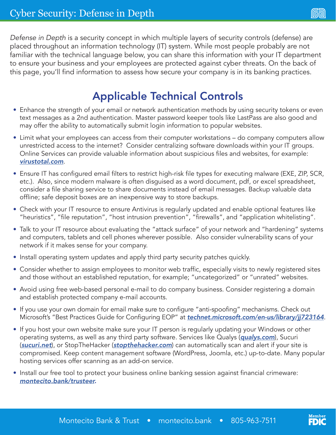(ww

*Defense in Depth* is a security concept in which multiple layers of security controls (defense) are placed throughout an information technology (IT) system. While most people probably are not familiar with the technical language below, you can share this information with your IT department to ensure your business and your employees are protected against cyber threats. On the back of this page, you'll find information to assess how secure your company is in its banking practices.

## Applicable Technical Controls

- Enhance the strength of your email or network authentication methods by using security tokens or even text messages as a 2nd authentication. Master password keeper tools like LastPass are also good and may offer the ability to automatically submit login information to popular websites.
- Limit what your employees can access from their computer workstations do company computers allow unrestricted access to the internet? Consider centralizing software downloads within your IT groups. Online Services can provide valuable information about suspicious files and websites, for example: *[virustotal.com](http://www.virustotal.com)*.
- Ensure IT has configured email filters to restrict high-risk file types for executing malware (EXE, ZIP, SCR, etc.). Also, since modern malware is often disguised as a word document, pdf, or excel spreadsheet, consider a file sharing service to share documents instead of email messages. Backup valuable data offline; safe deposit boxes are an inexpensive way to store backups.
- Check with your IT resource to ensure Antivirus is regularly updated and enable optional features like "heuristics", "file reputation", "host intrusion prevention", "firewalls", and "application whitelisting".
- Talk to your IT resource about evaluating the "attack surface" of your network and "hardening" systems and computers, tablets and cell phones wherever possible. Also consider vulnerability scans of your network if it makes sense for your company.
- Install operating system updates and apply third party security patches quickly.
- Consider whether to assign employees to monitor web traffic, especially visits to newly registered sites and those without an established reputation, for example; "uncategorized" or "unrated" websites.
- Avoid using free web-based personal e-mail to do company business. Consider registering a domain and establish protected company e-mail accounts.
- If you use your own domain for email make sure to configure "anti-spoofing" mechanisms. Check out Microsoft's "Best Practices Guide for Configuring EOP" at *[technet.microsoft.com/en-us/library/jj723164](http://technet.microsoft.com/en-us/library/jj723164)*.
- If you host your own website make sure your IT person is regularly updating your Windows or other operating systems, as well as any third party software. Services like Qualys (*[qualys.com](http://www.qualys.com)*), Sucuri (*[sucuri.net](http://www.sucuri.net)*), or StopTheHacker (*[stopthehacker.com](http://www.stopthehacker.com)*) can automatically scan and alert if your site is compromised. Keep content management software (WordPress, Joomla, etc.) up-to-date. Many popular hosting services offer scanning as an add-on service.
- Install our free tool to protect your business online banking session against financial crimeware: *[montecito.bank/trusteer](https://montecito.bank/trusteer).*